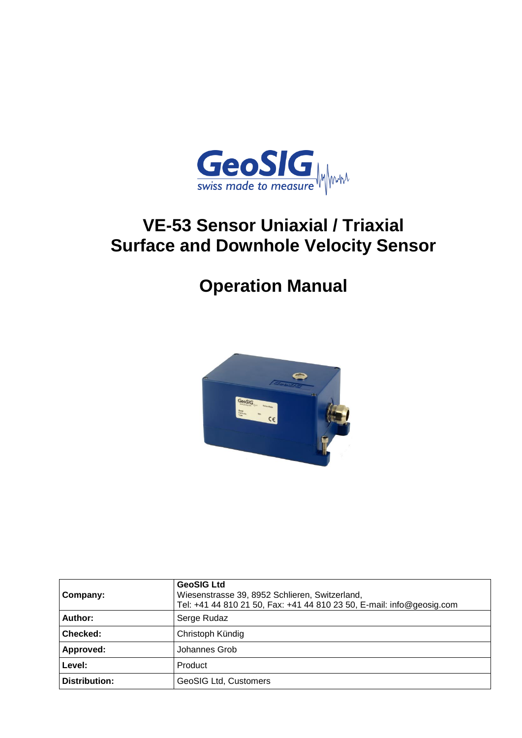

# **VE-53 Sensor Uniaxial / Triaxial Surface and Downhole Velocity Sensor**

# **Operation Manual**



| Company:      | <b>GeoSIG Ltd</b><br>Wiesenstrasse 39, 8952 Schlieren, Switzerland,<br>Tel: +41 44 810 21 50, Fax: +41 44 810 23 50, E-mail: info@geosig.com |
|---------------|----------------------------------------------------------------------------------------------------------------------------------------------|
| Author:       | Serge Rudaz                                                                                                                                  |
| Checked:      | Christoph Kündig                                                                                                                             |
| Approved:     | Johannes Grob                                                                                                                                |
| Level:        | Product                                                                                                                                      |
| Distribution: | <b>GeoSIG Ltd, Customers</b>                                                                                                                 |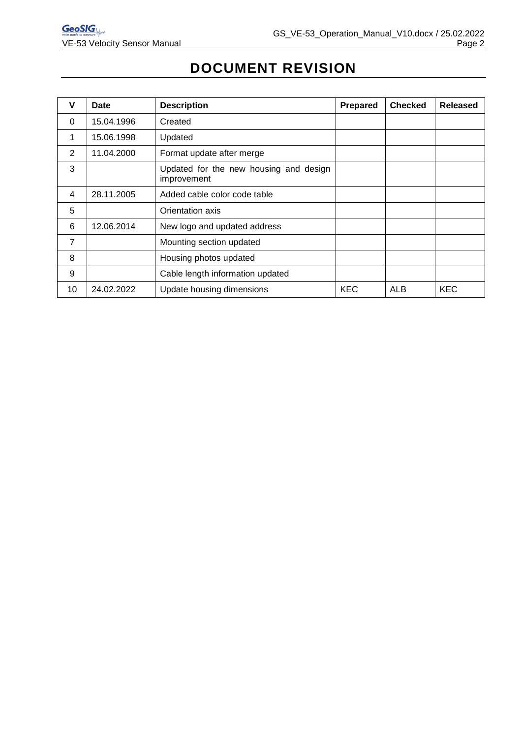# **DOCUMENT REVISION**

| v              | Date       | <b>Description</b>                                    | Prepared   | <b>Checked</b> | Released   |
|----------------|------------|-------------------------------------------------------|------------|----------------|------------|
| $\Omega$       | 15.04.1996 | Created                                               |            |                |            |
| 1              | 15.06.1998 | Updated                                               |            |                |            |
| 2              | 11.04.2000 | Format update after merge                             |            |                |            |
| 3              |            | Updated for the new housing and design<br>improvement |            |                |            |
| 4              | 28.11.2005 | Added cable color code table                          |            |                |            |
| 5              |            | Orientation axis                                      |            |                |            |
| 6              | 12.06.2014 | New logo and updated address                          |            |                |            |
| $\overline{7}$ |            | Mounting section updated                              |            |                |            |
| 8              |            | Housing photos updated                                |            |                |            |
| 9              |            | Cable length information updated                      |            |                |            |
| 10             | 24.02.2022 | Update housing dimensions                             | <b>KEC</b> | <b>ALB</b>     | <b>KEC</b> |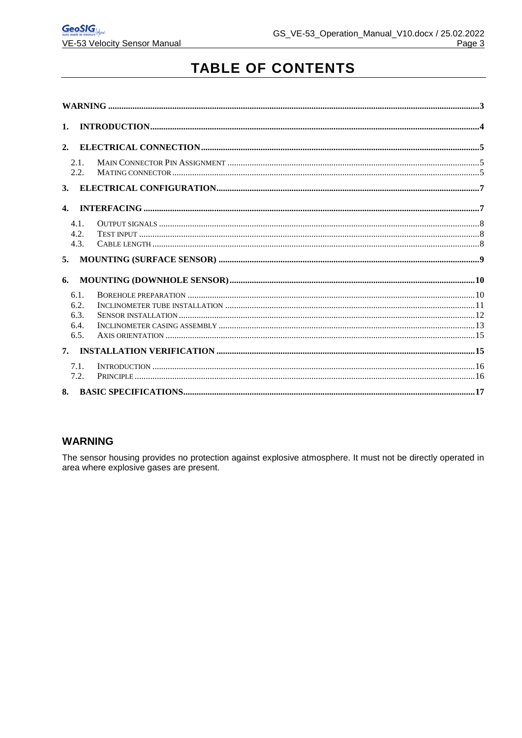# **TABLE OF CONTENTS**

| 2.1. |  |  |
|------|--|--|

#### <span id="page-2-0"></span>**WARNING**

The sensor housing provides no protection against explosive atmosphere. It must not be directly operated in area where explosive gases are present.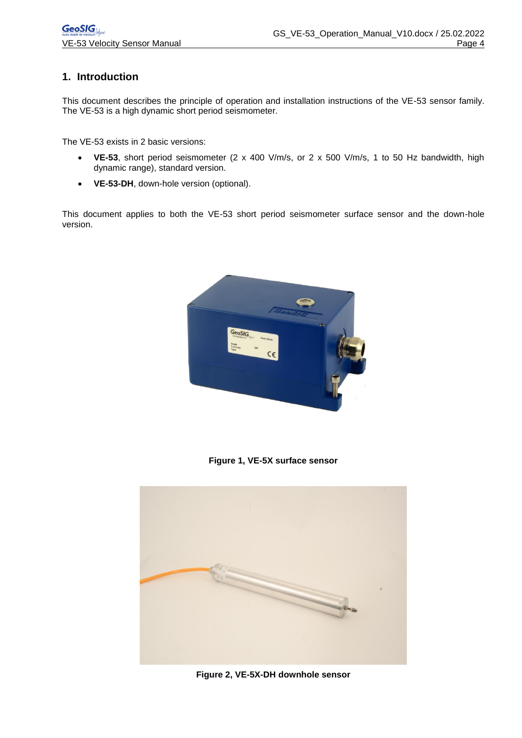#### <span id="page-3-0"></span>**1. Introduction**

This document describes the principle of operation and installation instructions of the VE-53 sensor family. The VE-53 is a high dynamic short period seismometer.

The VE-53 exists in 2 basic versions:

- **VE-53**, short period seismometer (2 x 400 V/m/s, or 2 x 500 V/m/s, 1 to 50 Hz bandwidth, high dynamic range), standard version.
- **VE-53-DH**, down-hole version (optional).

This document applies to both the VE-53 short period seismometer surface sensor and the down-hole version.



**Figure 1, VE-5X surface sensor**



**Figure 2, VE-5X-DH downhole sensor**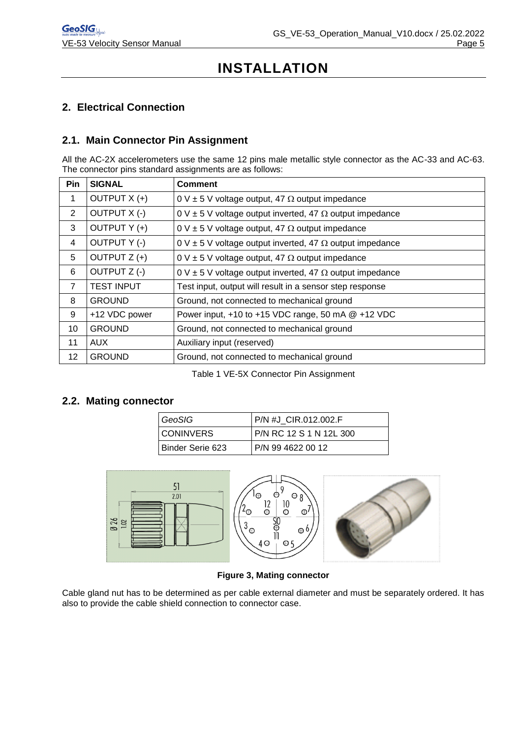# **INSTALLATION**

## <span id="page-4-0"></span>**2. Electrical Connection**

#### <span id="page-4-1"></span>**2.1. Main Connector Pin Assignment**

All the AC-2X accelerometers use the same 12 pins male metallic style connector as the AC-33 and AC-63. The connector pins standard assignments are as follows:

| Pin            | <b>SIGNAL</b>       | <b>Comment</b>                                                            |
|----------------|---------------------|---------------------------------------------------------------------------|
| 1              | OUTPUT X (+)        | $0 \vee \pm 5 \vee$ voltage output, 47 $\Omega$ output impedance          |
| $\overline{2}$ | OUTPUT X (-)        | $0 \vee \pm 5$ V voltage output inverted, 47 $\Omega$ output impedance    |
| 3              | OUTPUT Y (+)        | 0 V $\pm$ 5 V voltage output, 47 $\Omega$ output impedance                |
| $\overline{4}$ | <b>OUTPUT Y (-)</b> | $0 \vee \pm 5 \vee$ voltage output inverted, 47 $\Omega$ output impedance |
| 5              | OUTPUT Z (+)        | 0 V $\pm$ 5 V voltage output, 47 $\Omega$ output impedance                |
| 6              | OUTPUT Z (-)        | $0 \vee \pm 5 \vee$ voltage output inverted, 47 $\Omega$ output impedance |
| $\overline{7}$ | <b>TEST INPUT</b>   | Test input, output will result in a sensor step response                  |
| 8              | <b>GROUND</b>       | Ground, not connected to mechanical ground                                |
| 9              | +12 VDC power       | Power input, $+10$ to $+15$ VDC range, 50 mA $@ +12$ VDC                  |
| 10             | <b>GROUND</b>       | Ground, not connected to mechanical ground                                |
| 11             | <b>AUX</b>          | Auxiliary input (reserved)                                                |
| 12             | <b>GROUND</b>       | Ground, not connected to mechanical ground                                |

Table 1 VE-5X Connector Pin Assignment

#### <span id="page-4-2"></span>**2.2. Mating connector**

| GeoSIG           | I P/N #J_CIR.012.002.F  |
|------------------|-------------------------|
| <b>CONINVERS</b> | P/N RC 12 S 1 N 12L 300 |
| Binder Serie 623 | P/N 99 4622 00 12       |



#### **Figure 3, Mating connector**

Cable gland nut has to be determined as per cable external diameter and must be separately ordered. It has also to provide the cable shield connection to connector case.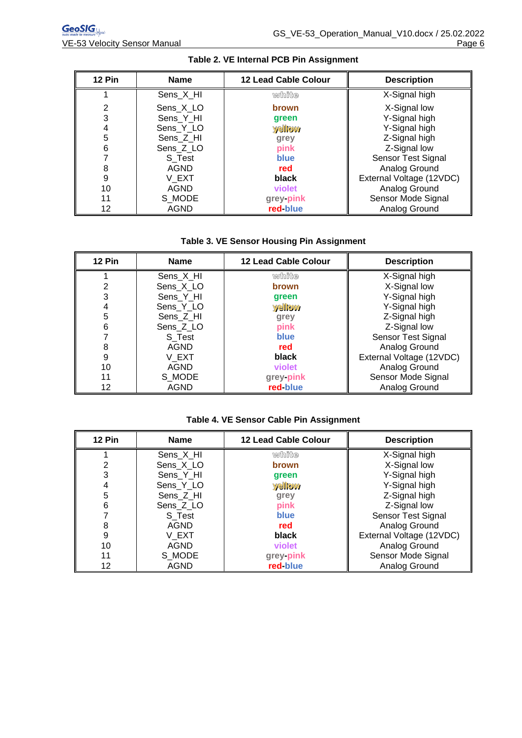| 12 Pin | <b>Name</b> | <b>12 Lead Cable Colour</b> | <b>Description</b>       |
|--------|-------------|-----------------------------|--------------------------|
|        | Sens_X_HI   | white                       | X-Signal high            |
| 2      | Sens X LO   | <b>brown</b>                | X-Signal low             |
| 3      | Sens Y HI   | green                       | Y-Signal high            |
| 4      | Sens_Y_LO   | yellow                      | Y-Signal high            |
| 5      | Sens Z HI   | grey                        | Z-Signal high            |
| 6      | Sens_Z_LO   | pink                        | Z-Signal low             |
|        | S Test      | blue                        | Sensor Test Signal       |
| 8      | AGND        | red                         | Analog Ground            |
| 9      | V EXT       | black                       | External Voltage (12VDC) |
| 10     | AGND        | violet                      | Analog Ground            |
| 11     | S MODE      | grey-pink                   | Sensor Mode Signal       |
| 12     | AGND        | red-blue                    | Analog Ground            |

#### **Table 2. VE Internal PCB Pin Assignment**

#### **Table 3. VE Sensor Housing Pin Assignment**

| 12 Pin | <b>Name</b> | <b>12 Lead Cable Colour</b> | <b>Description</b>       |
|--------|-------------|-----------------------------|--------------------------|
|        | Sens_X_HI   | white                       | X-Signal high            |
| 2      | Sens X LO   | brown                       | X-Signal low             |
| 3      | Sens Y HI   | green                       | Y-Signal high            |
| 4      | Sens_Y_LO   | <b>yellow</b>               | Y-Signal high            |
| 5      | Sens Z HI   | grey                        | Z-Signal high            |
| 6      | Sens Z LO   | pink                        | Z-Signal low             |
|        | S Test      | blue                        | Sensor Test Signal       |
| 8      | <b>AGND</b> | red                         | Analog Ground            |
| 9      | V EXT       | black                       | External Voltage (12VDC) |
| 10     | <b>AGND</b> | violet                      | Analog Ground            |
| 11     | S MODE      | grey-pink                   | Sensor Mode Signal       |
| 12     | <b>AGND</b> | red-blue                    | Analog Ground            |

### **Table 4. VE Sensor Cable Pin Assignment**

| 12 Pin | <b>Name</b> | <b>12 Lead Cable Colour</b> | <b>Description</b>       |
|--------|-------------|-----------------------------|--------------------------|
|        | Sens_X_HI   | white                       | X-Signal high            |
| 2      | Sens_X_LO   | brown                       | X-Signal low             |
| 3      | Sens Y HI   | green                       | Y-Signal high            |
| 4      | Sens_Y_LO   | <b>yellow</b>               | Y-Signal high            |
| 5      | Sens_Z_HI   | grey                        | Z-Signal high            |
| 6      | Sens Z LO   | pink                        | Z-Signal low             |
|        | S Test      | <b>blue</b>                 | Sensor Test Signal       |
| 8      | <b>AGND</b> | red                         | Analog Ground            |
| 9      | V EXT       | black                       | External Voltage (12VDC) |
| 10     | <b>AGND</b> | violet                      | Analog Ground            |
| 11     | S MODE      | grey-pink                   | Sensor Mode Signal       |
| 12     | <b>AGND</b> | red-blue                    | Analog Ground            |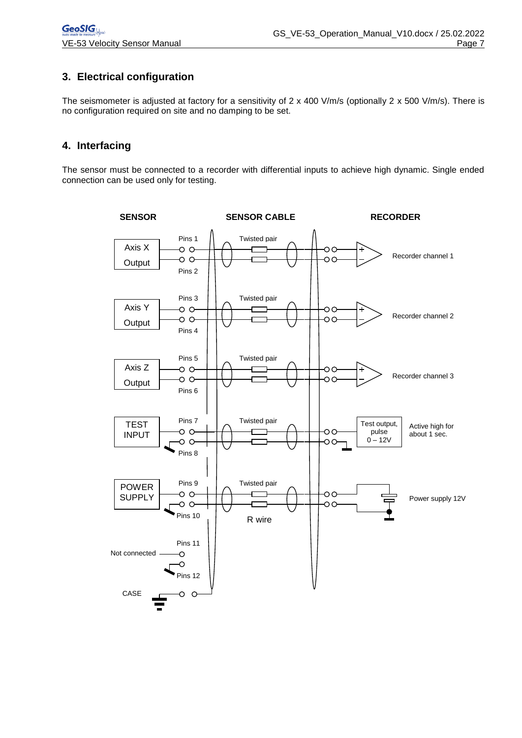## <span id="page-6-0"></span>**3. Electrical configuration**

The seismometer is adjusted at factory for a sensitivity of 2 x 400 V/m/s (optionally 2 x 500 V/m/s). There is no configuration required on site and no damping to be set.

#### <span id="page-6-1"></span>**4. Interfacing**

The sensor must be connected to a recorder with differential inputs to achieve high dynamic. Single ended connection can be used only for testing.

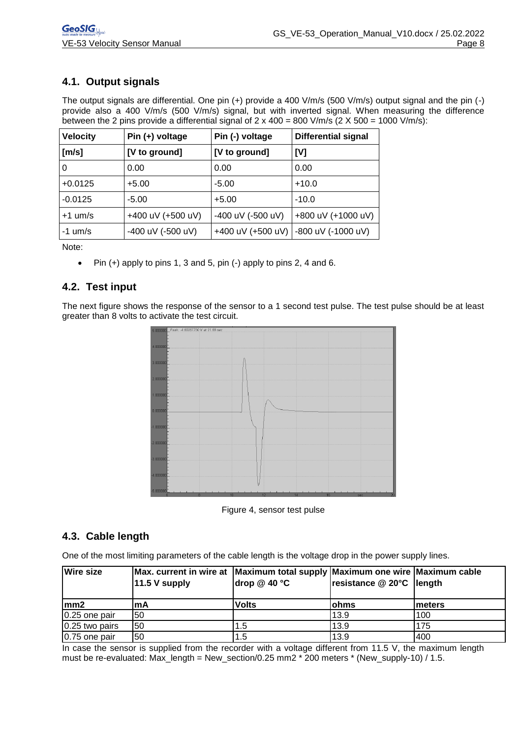# <span id="page-7-0"></span>**4.1. Output signals**

The output signals are differential. One pin (+) provide a 400 V/m/s (500 V/m/s) output signal and the pin (-) provide also a 400 V/m/s (500 V/m/s) signal, but with inverted signal. When measuring the difference between the 2 pins provide a differential signal of  $2 \times 400 = 800$  V/m/s  $(2 \times 500 = 1000$  V/m/s):

| <b>Velocity</b> | Pin $(+)$ voltage | Pin (-) voltage   | <b>Differential signal</b> |
|-----------------|-------------------|-------------------|----------------------------|
| [m/s]           | [V to ground]     | [V to ground]     | [V]                        |
| 0               | 0.00              | 0.00              | 0.00                       |
| $+0.0125$       | $+5.00$           | $-5.00$           | $+10.0$                    |
| $-0.0125$       | $-5.00$           | $+5.00$           | $-10.0$                    |
| $+1$ um/s       | +400 uV (+500 uV) | -400 uV (-500 uV) | +800 uV (+1000 uV)         |
| $-1$ um/s       | -400 uV (-500 uV) | +400 uV (+500 uV) | -800 uV (-1000 uV)         |

Note:

 $\bullet$  Pin (+) apply to pins 1, 3 and 5, pin (-) apply to pins 2, 4 and 6.

### <span id="page-7-1"></span>**4.2. Test input**

The next figure shows the response of the sensor to a 1 second test pulse. The test pulse should be at least greater than 8 volts to activate the test circuit.



Figure 4, sensor test pulse

#### <span id="page-7-2"></span>**4.3. Cable length**

One of the most limiting parameters of the cable length is the voltage drop in the power supply lines.

| <b>Wire size</b> | Max. current in wire at Maximum total supply Maximum one wire Maximum cable<br>$11.5 V$ supply | drop $@$ 40 $°C$ | resistance @ 20°C  length |         |
|------------------|------------------------------------------------------------------------------------------------|------------------|---------------------------|---------|
| $\mathsf{lmm2}$  | lmA                                                                                            | Volts            | lohms                     | Imeters |
| 0.25 one pair    | 150                                                                                            |                  | 13.9                      | 100     |
| 0.25 two pairs   | 150                                                                                            | 1.5              | 13.9                      | 175     |
| 0.75 one pair    | 150                                                                                            | 1.5              | 13.9                      | 400     |

In case the sensor is supplied from the recorder with a voltage different from 11.5 V, the maximum length must be re-evaluated: Max\_length = New\_section/0.25 mm2 \* 200 meters \* (New\_supply-10) / 1.5.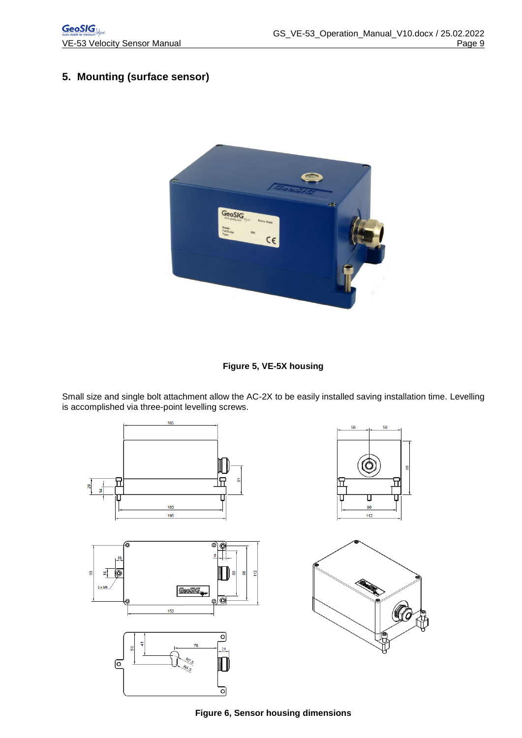# <span id="page-8-0"></span>**5. Mounting (surface sensor)**



**Figure 5, VE-5X housing**

Small size and single bolt attachment allow the AC-2X to be easily installed saving installation time. Levelling is accomplished via three-point levelling screws.



**Figure 6, Sensor housing dimensions**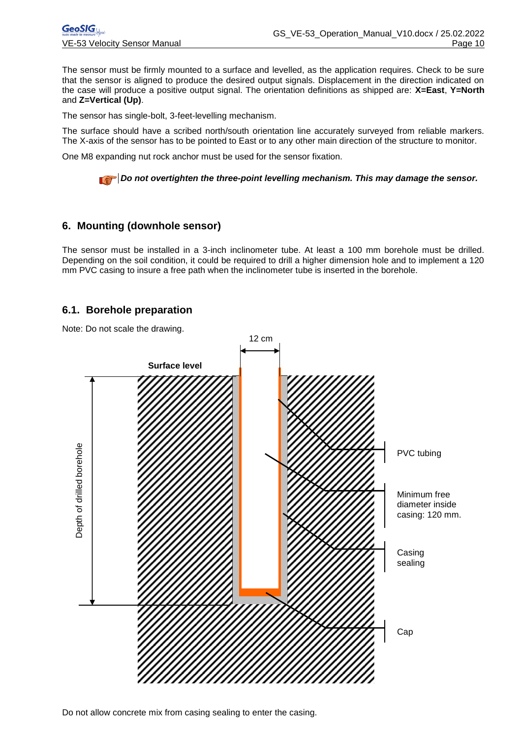The sensor must be firmly mounted to a surface and levelled, as the application requires. Check to be sure that the sensor is aligned to produce the desired output signals. Displacement in the direction indicated on the case will produce a positive output signal. The orientation definitions as shipped are: **X=East**, **Y=North**  and **Z=Vertical (Up)**.

The sensor has single-bolt, 3-feet-levelling mechanism.

The surface should have a scribed north/south orientation line accurately surveyed from reliable markers. The X-axis of the sensor has to be pointed to East or to any other main direction of the structure to monitor.

One M8 expanding nut rock anchor must be used for the sensor fixation.

**Do not overtighten the three-point levelling mechanism. This may damage the sensor.** 

#### <span id="page-9-0"></span>**6. Mounting (downhole sensor)**

The sensor must be installed in a 3-inch inclinometer tube. At least a 100 mm borehole must be drilled. Depending on the soil condition, it could be required to drill a higher dimension hole and to implement a 120 mm PVC casing to insure a free path when the inclinometer tube is inserted in the borehole.

#### <span id="page-9-1"></span>**6.1. Borehole preparation**

Note: Do not scale the drawing.



Do not allow concrete mix from casing sealing to enter the casing.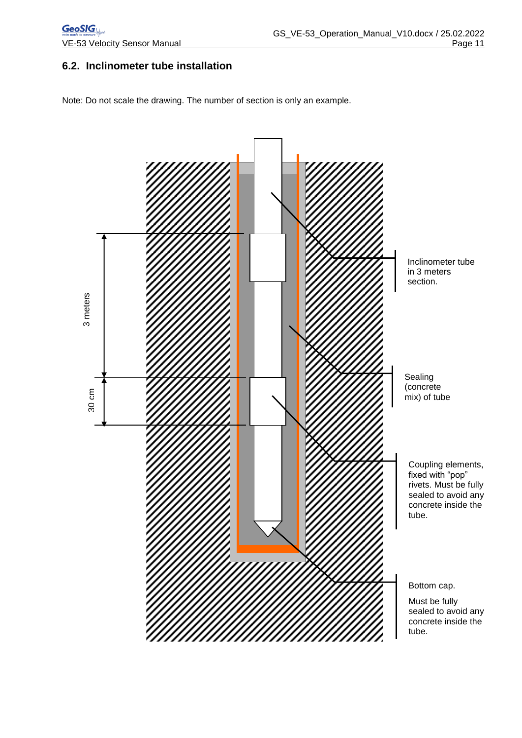### <span id="page-10-0"></span>**6.2. Inclinometer tube installation**

Note: Do not scale the drawing. The number of section is only an example.

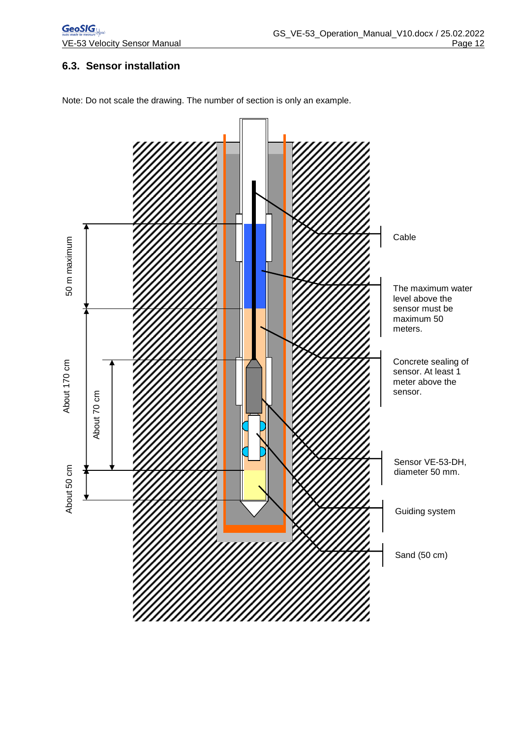# <span id="page-11-0"></span>**6.3. Sensor installation**



Note: Do not scale the drawing. The number of section is only an example.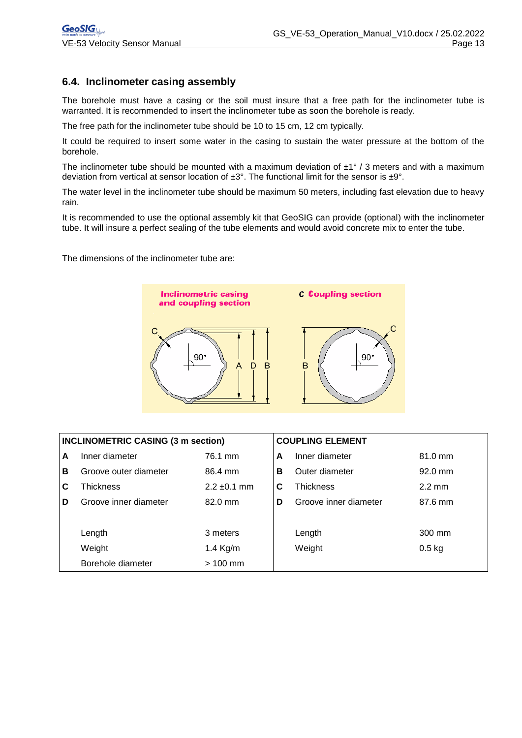#### <span id="page-12-0"></span>**6.4. Inclinometer casing assembly**

The borehole must have a casing or the soil must insure that a free path for the inclinometer tube is warranted. It is recommended to insert the inclinometer tube as soon the borehole is ready.

The free path for the inclinometer tube should be 10 to 15 cm, 12 cm typically.

It could be required to insert some water in the casing to sustain the water pressure at the bottom of the borehole.

The inclinometer tube should be mounted with a maximum deviation of  $\pm 1^{\circ}$  / 3 meters and with a maximum deviation from vertical at sensor location of  $\pm 3^{\circ}$ . The functional limit for the sensor is  $\pm 9^{\circ}$ .

The water level in the inclinometer tube should be maximum 50 meters, including fast elevation due to heavy rain.

It is recommended to use the optional assembly kit that GeoSIG can provide (optional) with the inclinometer tube. It will insure a perfect sealing of the tube elements and would avoid concrete mix to enter the tube.

The dimensions of the inclinometer tube are:



| <b>INCLINOMETRIC CASING (3 m section)</b> |                       |                  | <b>COUPLING ELEMENT</b> |                       |                  |
|-------------------------------------------|-----------------------|------------------|-------------------------|-----------------------|------------------|
| A                                         | Inner diameter        | 76.1 mm          | A                       | Inner diameter        | 81.0 mm          |
| в                                         | Groove outer diameter | 86.4 mm          | в                       | Outer diameter        | $92.0$ mm        |
| C                                         | Thickness             | $2.2 \pm 0.1$ mm | С                       | <b>Thickness</b>      | $2.2 \text{ mm}$ |
| D                                         | Groove inner diameter | 82.0 mm          | D                       | Groove inner diameter | 87.6 mm          |
|                                           |                       |                  |                         |                       |                  |
|                                           | Length                | 3 meters         |                         | Length                | 300 mm           |
|                                           | Weight                | 1.4 Kg/m         |                         | Weight                | $0.5$ kg         |
|                                           | Borehole diameter     | $>100$ mm        |                         |                       |                  |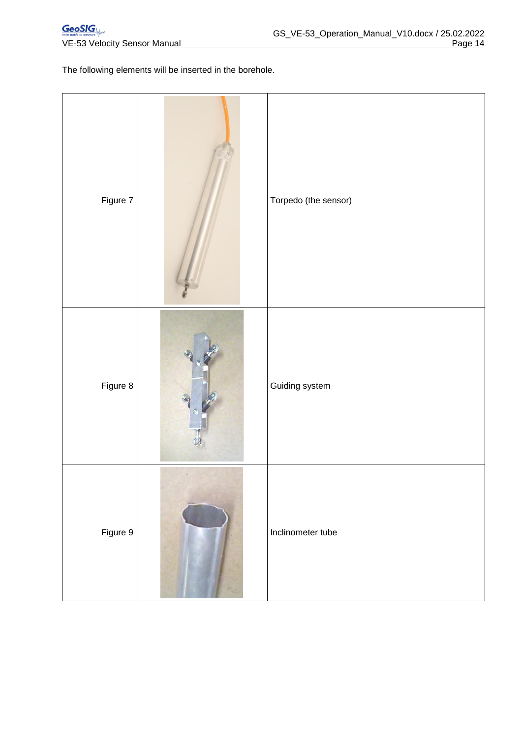The following elements will be inserted in the borehole.

| Figure 7 | Torpedo (the sensor) |
|----------|----------------------|
| Figure 8 | Guiding system       |
| Figure 9 | Inclinometer tube    |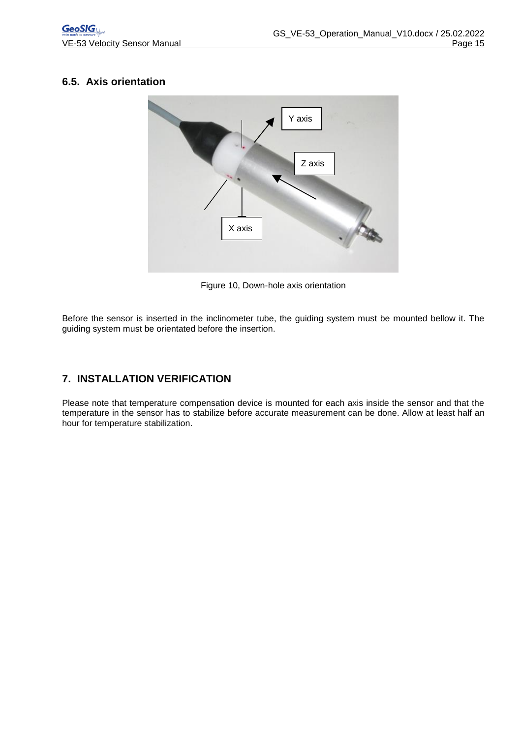## <span id="page-14-0"></span>**6.5. Axis orientation**



Figure 10, Down-hole axis orientation

Before the sensor is inserted in the inclinometer tube, the guiding system must be mounted bellow it. The guiding system must be orientated before the insertion.

# <span id="page-14-1"></span>**7. INSTALLATION VERIFICATION**

Please note that temperature compensation device is mounted for each axis inside the sensor and that the temperature in the sensor has to stabilize before accurate measurement can be done. Allow at least half an hour for temperature stabilization.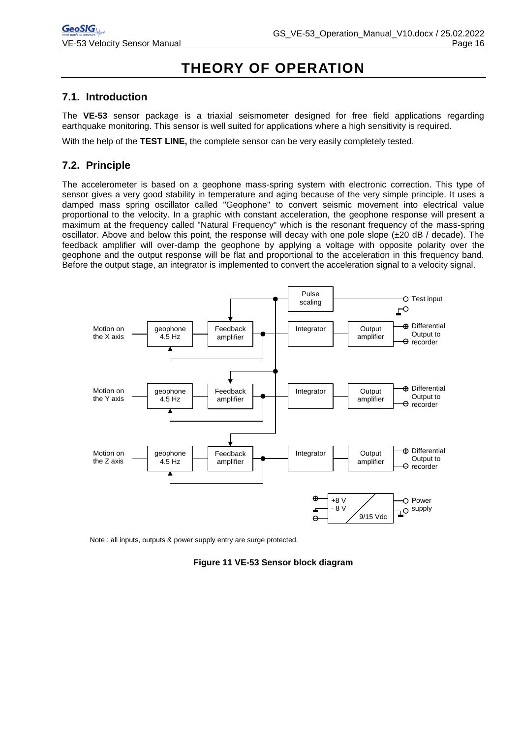# **THEORY OF OPERATION**

#### <span id="page-15-0"></span>**7.1. Introduction**

The **VE-53** sensor package is a triaxial seismometer designed for free field applications regarding earthquake monitoring. This sensor is well suited for applications where a high sensitivity is required.

With the help of the **TEST LINE,** the complete sensor can be very easily completely tested.

### <span id="page-15-1"></span>**7.2. Principle**

The accelerometer is based on a geophone mass-spring system with electronic correction. This type of sensor gives a very good stability in temperature and aging because of the very simple principle. It uses a damped mass spring oscillator called "Geophone" to convert seismic movement into electrical value proportional to the velocity. In a graphic with constant acceleration, the geophone response will present a maximum at the frequency called "Natural Frequency" which is the resonant frequency of the mass-spring oscillator. Above and below this point, the response will decay with one pole slope (±20 dB / decade). The feedback amplifier will over-damp the geophone by applying a voltage with opposite polarity over the geophone and the output response will be flat and proportional to the acceleration in this frequency band. Before the output stage, an integrator is implemented to convert the acceleration signal to a velocity signal.



Note : all inputs, outputs & power supply entry are surge protected.

**Figure 11 VE-53 Sensor block diagram**